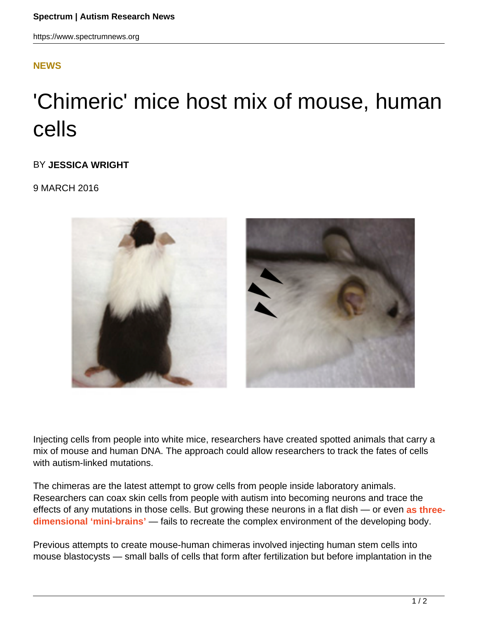### **[NEWS](HTTPS://WWW.SPECTRUMNEWS.ORG/NEWS/)**

# 'Chimeric' mice host mix of mouse, human cells

#### BY **JESSICA WRIGHT**

9 MARCH 2016



Injecting cells from people into white mice, researchers have created spotted animals that carry a mix of mouse and human DNA. The approach could allow researchers to track the fates of cells with autism-linked mutations.

The chimeras are the latest attempt to grow cells from people inside laboratory animals. Researchers can coax skin cells from people with autism into becoming neurons and trace the effects of any mutations in those cells. But growing these neurons in a flat dish — or even **as three**dimensional 'mini-brains' — fails to recreate the complex environment of the developing body.

Previous attempts to create mouse-human chimeras involved injecting human stem cells into mouse blastocysts — small balls of cells that form after fertilization but before implantation in the